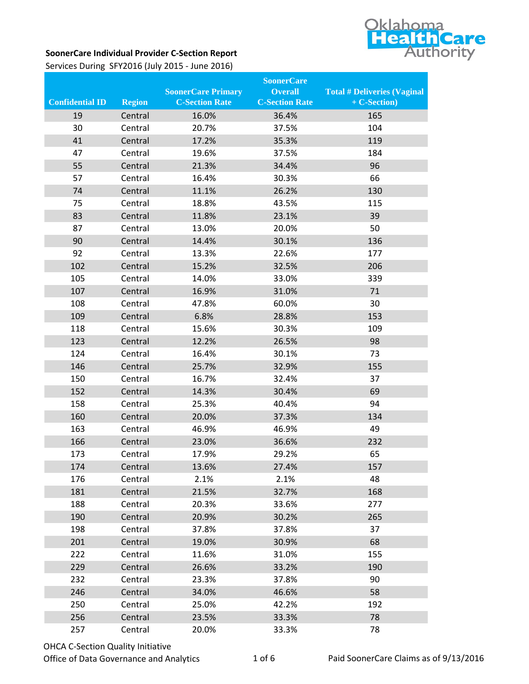

## **SoonerCare Individual Provider C-Section Report**

Services During SFY2016 (July 2015 - June 2016)

|                        |               |                           | <b>SoonerCare</b>     |                                    |
|------------------------|---------------|---------------------------|-----------------------|------------------------------------|
|                        |               | <b>SoonerCare Primary</b> | <b>Overall</b>        | <b>Total # Deliveries (Vaginal</b> |
| <b>Confidential ID</b> | <b>Region</b> | <b>C-Section Rate</b>     | <b>C-Section Rate</b> | + C-Section)                       |
| 19                     | Central       | 16.0%                     | 36.4%                 | 165                                |
| 30                     | Central       | 20.7%                     | 37.5%                 | 104                                |
| 41                     | Central       | 17.2%                     | 35.3%                 | 119                                |
| 47                     | Central       | 19.6%                     | 37.5%                 | 184                                |
| 55                     | Central       | 21.3%                     | 34.4%                 | 96                                 |
| 57                     | Central       | 16.4%                     | 30.3%                 | 66                                 |
| 74                     | Central       | 11.1%                     | 26.2%                 | 130                                |
| 75                     | Central       | 18.8%                     | 43.5%                 | 115                                |
| 83                     | Central       | 11.8%                     | 23.1%                 | 39                                 |
| 87                     | Central       | 13.0%                     | 20.0%                 | 50                                 |
| 90                     | Central       | 14.4%                     | 30.1%                 | 136                                |
| 92                     | Central       | 13.3%                     | 22.6%                 | 177                                |
| 102                    | Central       | 15.2%                     | 32.5%                 | 206                                |
| 105                    | Central       | 14.0%                     | 33.0%                 | 339                                |
| 107                    | Central       | 16.9%                     | 31.0%                 | 71                                 |
| 108                    | Central       | 47.8%                     | 60.0%                 | 30                                 |
| 109                    | Central       | 6.8%                      | 28.8%                 | 153                                |
| 118                    | Central       | 15.6%                     | 30.3%                 | 109                                |
| 123                    | Central       | 12.2%                     | 26.5%                 | 98                                 |
| 124                    | Central       | 16.4%                     | 30.1%                 | 73                                 |
| 146                    | Central       | 25.7%                     | 32.9%                 | 155                                |
| 150                    | Central       | 16.7%                     | 32.4%                 | 37                                 |
| 152                    | Central       | 14.3%                     | 30.4%                 | 69                                 |
| 158                    | Central       | 25.3%                     | 40.4%                 | 94                                 |
| 160                    | Central       | 20.0%                     | 37.3%                 | 134                                |
| 163                    | Central       | 46.9%                     | 46.9%                 | 49                                 |
| 166                    | Central       | 23.0%                     | 36.6%                 | 232                                |
| 173                    | Central       | 17.9%                     | 29.2%                 | 65                                 |
| 174                    | Central       | 13.6%                     | 27.4%                 | 157                                |
| 176                    | Central       | 2.1%                      | 2.1%                  | 48                                 |
| 181                    | Central       | 21.5%                     | 32.7%                 | 168                                |
| 188                    | Central       | 20.3%                     | 33.6%                 | 277                                |
| 190                    | Central       | 20.9%                     | 30.2%                 | 265                                |
| 198                    | Central       | 37.8%                     | 37.8%                 | 37                                 |
| 201                    | Central       | 19.0%                     | 30.9%                 | 68                                 |
| 222                    | Central       | 11.6%                     | 31.0%                 | 155                                |
| 229                    | Central       | 26.6%                     | 33.2%                 | 190                                |
| 232                    | Central       | 23.3%                     | 37.8%                 | 90                                 |
| 246                    | Central       | 34.0%                     | 46.6%                 | 58                                 |
| 250                    | Central       | 25.0%                     | 42.2%                 | 192                                |
| 256                    | Central       | 23.5%                     | 33.3%                 | 78                                 |
| 257                    | Central       | 20.0%                     | 33.3%                 | 78                                 |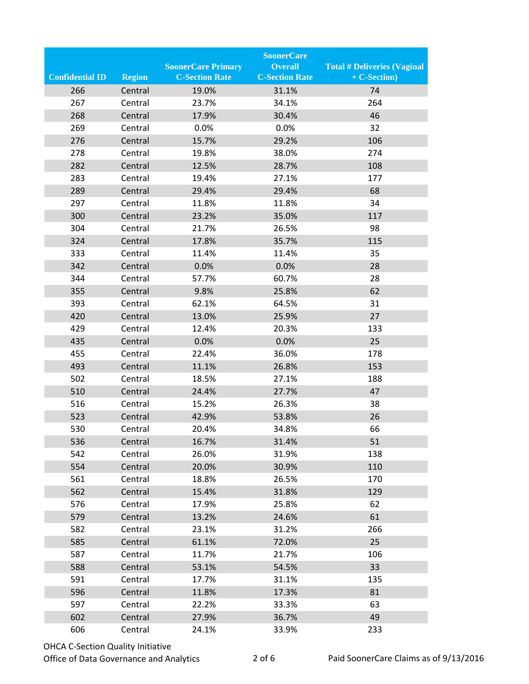|                        |               |                           | <b>SoonerCare</b>     |                                    |
|------------------------|---------------|---------------------------|-----------------------|------------------------------------|
|                        |               | <b>SoonerCare Primary</b> | <b>Overall</b>        | <b>Total # Deliveries (Vaginal</b> |
| <b>Confidential ID</b> | <b>Region</b> | <b>C-Section Rate</b>     | <b>C-Section Rate</b> | + C-Section)                       |
| 266                    | Central       | 19.0%                     | 31.1%                 | 74                                 |
| 267                    | Central       | 23.7%                     | 34.1%                 | 264                                |
| 268                    | Central       | 17.9%                     | 30.4%                 | 46                                 |
| 269                    | Central       | 0.0%                      | 0.0%                  | 32                                 |
| 276                    | Central       | 15.7%                     | 29.2%                 | 106                                |
| 278                    | Central       | 19.8%                     | 38.0%                 | 274                                |
| 282                    | Central       | 12.5%                     | 28.7%                 | 108                                |
| 283                    | Central       | 19.4%                     | 27.1%                 | 177                                |
| 289                    | Central       | 29.4%                     | 29.4%                 | 68                                 |
| 297                    | Central       | 11.8%                     | 11.8%                 | 34                                 |
| 300                    | Central       | 23.2%                     | 35.0%                 | 117                                |
| 304                    | Central       | 21.7%                     | 26.5%                 | 98                                 |
| 324                    | Central       | 17.8%                     | 35.7%                 | 115                                |
| 333                    | Central       | 11.4%                     | 11.4%                 | 35                                 |
| 342                    | Central       | 0.0%                      | 0.0%                  | 28                                 |
| 344                    | Central       | 57.7%                     | 60.7%                 | 28                                 |
| 355                    | Central       | 9.8%                      | 25.8%                 | 62                                 |
| 393                    | Central       | 62.1%                     | 64.5%                 | 31                                 |
| 420                    | Central       | 13.0%                     | 25.9%                 | 27                                 |
| 429                    | Central       | 12.4%                     | 20.3%                 | 133                                |
| 435                    | Central       | 0.0%                      | 0.0%                  | 25                                 |
| 455                    | Central       | 22.4%                     | 36.0%                 | 178                                |
| 493                    | Central       | 11.1%                     | 26.8%                 | 153                                |
| 502                    | Central       | 18.5%                     | 27.1%                 | 188                                |
| 510                    | Central       | 24.4%                     | 27.7%                 | 47                                 |
| 516                    | Central       | 15.2%                     | 26.3%                 | 38                                 |
| 523                    | Central       | 42.9%                     | 53.8%                 | 26                                 |
| 530                    | Central       | 20.4%                     | 34.8%                 | 66                                 |
| 536                    | Central       | 16.7%                     | 31.4%                 | 51                                 |
| 542                    | Central       | 26.0%                     | 31.9%                 | 138                                |
| 554                    | Central       | 20.0%                     | 30.9%                 | 110                                |
| 561                    | Central       | 18.8%                     | 26.5%                 | 170                                |
| 562                    | Central       | 15.4%                     | 31.8%                 | 129                                |
| 576                    | Central       | 17.9%                     | 25.8%                 | 62                                 |
| 579                    | Central       | 13.2%                     | 24.6%                 | 61                                 |
| 582                    | Central       | 23.1%                     | 31.2%                 | 266                                |
| 585                    | Central       | 61.1%                     | 72.0%                 | 25                                 |
| 587                    | Central       | 11.7%                     | 21.7%                 | 106                                |
| 588                    | Central       | 53.1%                     | 54.5%                 | 33                                 |
| 591                    | Central       | 17.7%                     | 31.1%                 | 135                                |
| 596                    | Central       | 11.8%                     | 17.3%                 | 81                                 |
| 597                    | Central       | 22.2%                     | 33.3%                 | 63                                 |
| 602                    | Central       | 27.9%                     | 36.7%                 | 49                                 |
| 606                    | Central       | 24.1%                     | 33.9%                 | 233                                |

## OHCA C-Section Quality Initiative

Office of Data Governance and Analytics 2 of 6 Paid SoonerCare Claims as of 9/13/2016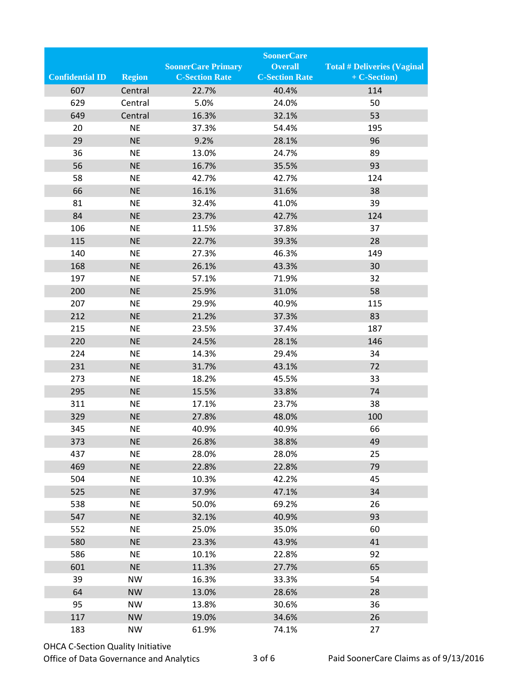|                        |               |                           | <b>SoonerCare</b>     |                                    |
|------------------------|---------------|---------------------------|-----------------------|------------------------------------|
|                        |               | <b>SoonerCare Primary</b> | <b>Overall</b>        | <b>Total # Deliveries (Vaginal</b> |
| <b>Confidential ID</b> | <b>Region</b> | <b>C-Section Rate</b>     | <b>C-Section Rate</b> | + C-Section)                       |
| 607                    | Central       | 22.7%                     | 40.4%                 | 114                                |
| 629                    | Central       | 5.0%                      | 24.0%                 | 50                                 |
| 649                    | Central       | 16.3%                     | 32.1%                 | 53                                 |
| 20                     | <b>NE</b>     | 37.3%                     | 54.4%                 | 195                                |
| 29                     | <b>NE</b>     | 9.2%                      | 28.1%                 | 96                                 |
| 36                     | <b>NE</b>     | 13.0%                     | 24.7%                 | 89                                 |
| 56                     | <b>NE</b>     | 16.7%                     | 35.5%                 | 93                                 |
| 58                     | <b>NE</b>     | 42.7%                     | 42.7%                 | 124                                |
| 66                     | <b>NE</b>     | 16.1%                     | 31.6%                 | 38                                 |
| 81                     | <b>NE</b>     | 32.4%                     | 41.0%                 | 39                                 |
| 84                     | <b>NE</b>     | 23.7%                     | 42.7%                 | 124                                |
| 106                    | <b>NE</b>     | 11.5%                     | 37.8%                 | 37                                 |
| 115                    | <b>NE</b>     | 22.7%                     | 39.3%                 | 28                                 |
| 140                    | <b>NE</b>     | 27.3%                     | 46.3%                 | 149                                |
| 168                    | <b>NE</b>     | 26.1%                     | 43.3%                 | 30                                 |
| 197                    | <b>NE</b>     | 57.1%                     | 71.9%                 | 32                                 |
| 200                    | <b>NE</b>     | 25.9%                     | 31.0%                 | 58                                 |
| 207                    | <b>NE</b>     | 29.9%                     | 40.9%                 | 115                                |
| 212                    | <b>NE</b>     | 21.2%                     | 37.3%                 | 83                                 |
| 215                    | <b>NE</b>     | 23.5%                     | 37.4%                 | 187                                |
| 220                    | <b>NE</b>     | 24.5%                     | 28.1%                 | 146                                |
| 224                    | <b>NE</b>     | 14.3%                     | 29.4%                 | 34                                 |
| 231                    | <b>NE</b>     | 31.7%                     | 43.1%                 | 72                                 |
| 273                    | <b>NE</b>     | 18.2%                     | 45.5%                 | 33                                 |
| 295                    | <b>NE</b>     | 15.5%                     | 33.8%                 | 74                                 |
| 311                    | <b>NE</b>     | 17.1%                     | 23.7%                 | 38                                 |
| 329                    | <b>NE</b>     | 27.8%                     | 48.0%                 | 100                                |
| 345                    | <b>NE</b>     | 40.9%                     | 40.9%                 | 66                                 |
| 373                    | <b>NE</b>     | 26.8%                     | 38.8%                 | 49                                 |
| 437                    | <b>NE</b>     | 28.0%                     | 28.0%                 | 25                                 |
| 469                    | <b>NE</b>     | 22.8%                     | 22.8%                 | 79                                 |
| 504                    | <b>NE</b>     | 10.3%                     | 42.2%                 | 45                                 |
| 525                    | <b>NE</b>     | 37.9%                     | 47.1%                 | 34                                 |
| 538                    | <b>NE</b>     | 50.0%                     | 69.2%                 | 26                                 |
| 547                    | <b>NE</b>     | 32.1%                     | 40.9%                 | 93                                 |
| 552                    | <b>NE</b>     | 25.0%                     | 35.0%                 | 60                                 |
| 580                    | <b>NE</b>     | 23.3%                     | 43.9%                 | 41                                 |
| 586                    | <b>NE</b>     | 10.1%                     | 22.8%                 | 92                                 |
| 601                    | <b>NE</b>     | 11.3%                     | 27.7%                 | 65                                 |
| 39                     | <b>NW</b>     | 16.3%                     | 33.3%                 | 54                                 |
| 64                     | <b>NW</b>     | 13.0%                     | 28.6%                 | 28                                 |
| 95                     | <b>NW</b>     | 13.8%                     | 30.6%                 | 36                                 |
| 117                    | <b>NW</b>     | 19.0%                     | 34.6%                 | 26                                 |
| 183                    | NW            | 61.9%                     | 74.1%                 | 27                                 |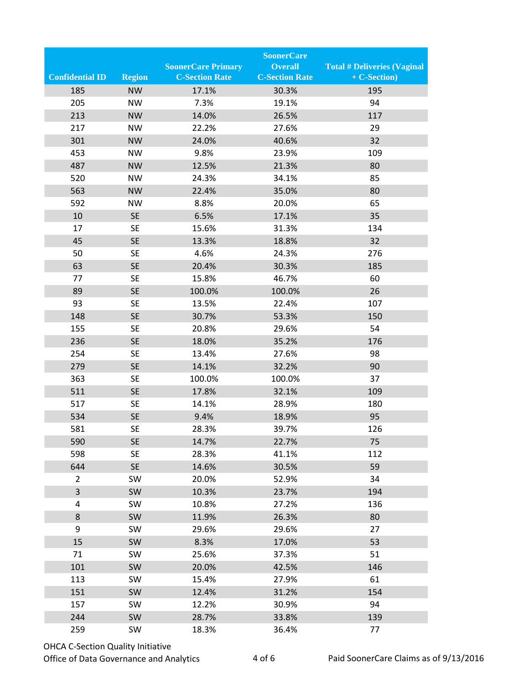|                         |               |                           | <b>SoonerCare</b>     |                                    |
|-------------------------|---------------|---------------------------|-----------------------|------------------------------------|
|                         |               | <b>SoonerCare Primary</b> | <b>Overall</b>        | <b>Total # Deliveries (Vaginal</b> |
| <b>Confidential ID</b>  | <b>Region</b> | <b>C-Section Rate</b>     | <b>C-Section Rate</b> | + C-Section)                       |
| 185                     | <b>NW</b>     | 17.1%                     | 30.3%                 | 195                                |
| 205                     | <b>NW</b>     | 7.3%                      | 19.1%                 | 94                                 |
| 213                     | <b>NW</b>     | 14.0%                     | 26.5%                 | 117                                |
| 217                     | <b>NW</b>     | 22.2%                     | 27.6%                 | 29                                 |
| 301                     | <b>NW</b>     | 24.0%                     | 40.6%                 | 32                                 |
| 453                     | <b>NW</b>     | 9.8%                      | 23.9%                 | 109                                |
| 487                     | <b>NW</b>     | 12.5%                     | 21.3%                 | 80                                 |
| 520                     | <b>NW</b>     | 24.3%                     | 34.1%                 | 85                                 |
| 563                     | <b>NW</b>     | 22.4%                     | 35.0%                 | 80                                 |
| 592                     | <b>NW</b>     | 8.8%                      | 20.0%                 | 65                                 |
| 10                      | <b>SE</b>     | 6.5%                      | 17.1%                 | 35                                 |
| 17                      | <b>SE</b>     | 15.6%                     | 31.3%                 | 134                                |
| 45                      | <b>SE</b>     | 13.3%                     | 18.8%                 | 32                                 |
| 50                      | <b>SE</b>     | 4.6%                      | 24.3%                 | 276                                |
| 63                      | <b>SE</b>     | 20.4%                     | 30.3%                 | 185                                |
| 77                      | <b>SE</b>     | 15.8%                     | 46.7%                 | 60                                 |
| 89                      | <b>SE</b>     | 100.0%                    | 100.0%                | 26                                 |
| 93                      | <b>SE</b>     | 13.5%                     | 22.4%                 | 107                                |
| 148                     | <b>SE</b>     | 30.7%                     | 53.3%                 | 150                                |
| 155                     | <b>SE</b>     | 20.8%                     | 29.6%                 | 54                                 |
| 236                     | <b>SE</b>     | 18.0%                     | 35.2%                 | 176                                |
| 254                     | <b>SE</b>     | 13.4%                     | 27.6%                 | 98                                 |
| 279                     | <b>SE</b>     | 14.1%                     | 32.2%                 | 90                                 |
| 363                     | <b>SE</b>     | 100.0%                    | 100.0%                | 37                                 |
| 511                     | <b>SE</b>     | 17.8%                     | 32.1%                 | 109                                |
| 517                     | <b>SE</b>     | 14.1%                     | 28.9%                 | 180                                |
| 534                     | <b>SE</b>     | 9.4%                      | 18.9%                 | 95                                 |
| 581                     | <b>SE</b>     | 28.3%                     | 39.7%                 | 126                                |
| 590                     | <b>SE</b>     | 14.7%                     | 22.7%                 | 75                                 |
| 598                     | <b>SE</b>     | 28.3%                     | 41.1%                 | 112                                |
| 644                     | <b>SE</b>     | 14.6%                     | 30.5%                 | 59                                 |
| $\overline{2}$          | SW            | 20.0%                     | 52.9%                 | 34                                 |
| $\overline{\mathbf{3}}$ | SW            | 10.3%                     | 23.7%                 | 194                                |
| 4                       | SW            | 10.8%                     | 27.2%                 | 136                                |
| 8                       | SW            | 11.9%                     | 26.3%                 | 80                                 |
| 9                       | SW            | 29.6%                     | 29.6%                 | 27                                 |
| 15                      | SW            | 8.3%                      | 17.0%                 | 53                                 |
| 71                      | SW            | 25.6%                     | 37.3%                 | 51                                 |
| 101                     | SW            | 20.0%                     | 42.5%                 | 146                                |
| 113                     | SW            | 15.4%                     | 27.9%                 | 61                                 |
| 151                     | SW            | 12.4%                     | 31.2%                 | 154                                |
| 157                     | SW            | 12.2%                     | 30.9%                 | 94                                 |
| 244                     | SW            | 28.7%                     | 33.8%                 | 139                                |
| 259                     | SW            | 18.3%                     | 36.4%                 | 77                                 |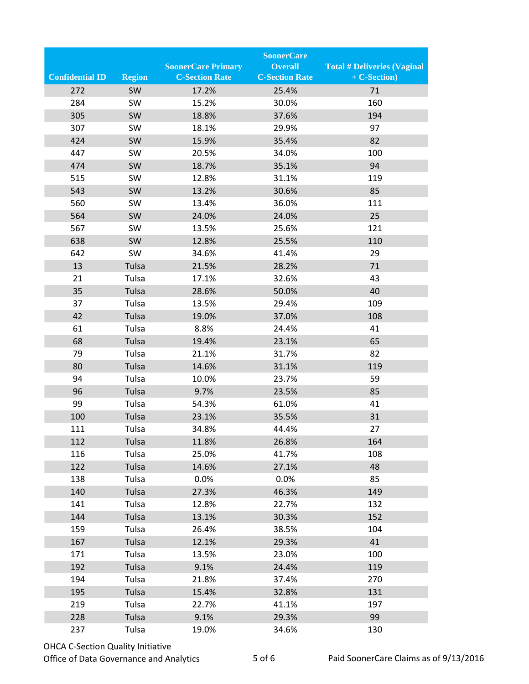|                        |               |                           | <b>SoonerCare</b>     |                                    |
|------------------------|---------------|---------------------------|-----------------------|------------------------------------|
|                        |               | <b>SoonerCare Primary</b> | <b>Overall</b>        | <b>Total # Deliveries (Vaginal</b> |
| <b>Confidential ID</b> | <b>Region</b> | <b>C-Section Rate</b>     | <b>C-Section Rate</b> | + C-Section)                       |
| 272                    | <b>SW</b>     | 17.2%                     | 25.4%                 | 71                                 |
| 284                    | SW            | 15.2%                     | 30.0%                 | 160                                |
| 305                    | SW            | 18.8%                     | 37.6%                 | 194                                |
| 307                    | SW            | 18.1%                     | 29.9%                 | 97                                 |
| 424                    | SW            | 15.9%                     | 35.4%                 | 82                                 |
| 447                    | SW            | 20.5%                     | 34.0%                 | 100                                |
| 474                    | SW            | 18.7%                     | 35.1%                 | 94                                 |
| 515                    | SW            | 12.8%                     | 31.1%                 | 119                                |
| 543                    | SW            | 13.2%                     | 30.6%                 | 85                                 |
| 560                    | SW            | 13.4%                     | 36.0%                 | 111                                |
| 564                    | SW            | 24.0%                     | 24.0%                 | 25                                 |
| 567                    | SW            | 13.5%                     | 25.6%                 | 121                                |
| 638                    | SW            | 12.8%                     | 25.5%                 | 110                                |
| 642                    | SW            | 34.6%                     | 41.4%                 | 29                                 |
| 13                     | Tulsa         | 21.5%                     | 28.2%                 | 71                                 |
| 21                     | Tulsa         | 17.1%                     | 32.6%                 | 43                                 |
| 35                     | Tulsa         | 28.6%                     | 50.0%                 | 40                                 |
| 37                     | Tulsa         | 13.5%                     | 29.4%                 | 109                                |
| 42                     | Tulsa         | 19.0%                     | 37.0%                 | 108                                |
| 61                     | Tulsa         | 8.8%                      | 24.4%                 | 41                                 |
| 68                     | Tulsa         | 19.4%                     | 23.1%                 | 65                                 |
| 79                     | Tulsa         | 21.1%                     | 31.7%                 | 82                                 |
| 80                     | Tulsa         | 14.6%                     | 31.1%                 | 119                                |
| 94                     | Tulsa         | 10.0%                     | 23.7%                 | 59                                 |
| 96                     | Tulsa         | 9.7%                      | 23.5%                 | 85                                 |
| 99                     | Tulsa         | 54.3%                     | 61.0%                 | 41                                 |
| 100                    | Tulsa         | 23.1%                     | 35.5%                 | 31                                 |
| 111                    | Tulsa         | 34.8%                     | 44.4%                 | 27                                 |
| 112                    | Tulsa         | 11.8%                     | 26.8%                 | 164                                |
| 116                    | Tulsa         | 25.0%                     | 41.7%                 | 108                                |
| 122                    | Tulsa         | 14.6%                     | 27.1%                 | 48                                 |
| 138                    | Tulsa         | 0.0%                      | 0.0%                  | 85                                 |
| 140                    | Tulsa         | 27.3%                     | 46.3%                 | 149                                |
| 141                    | Tulsa         | 12.8%                     | 22.7%                 | 132                                |
| 144                    | Tulsa         | 13.1%                     | 30.3%                 | 152                                |
| 159                    | Tulsa         | 26.4%                     | 38.5%                 | 104                                |
| 167                    | Tulsa         | 12.1%                     | 29.3%                 | 41                                 |
| 171                    | Tulsa         | 13.5%                     | 23.0%                 | 100                                |
| 192                    | Tulsa         | 9.1%                      | 24.4%                 | 119                                |
| 194                    | Tulsa         | 21.8%                     | 37.4%                 | 270                                |
| 195                    | Tulsa         | 15.4%                     | 32.8%                 | 131                                |
| 219                    | Tulsa         | 22.7%                     | 41.1%                 | 197                                |
| 228                    | Tulsa         | 9.1%                      | 29.3%                 | 99                                 |
| 237                    | Tulsa         | 19.0%                     | 34.6%                 | 130                                |